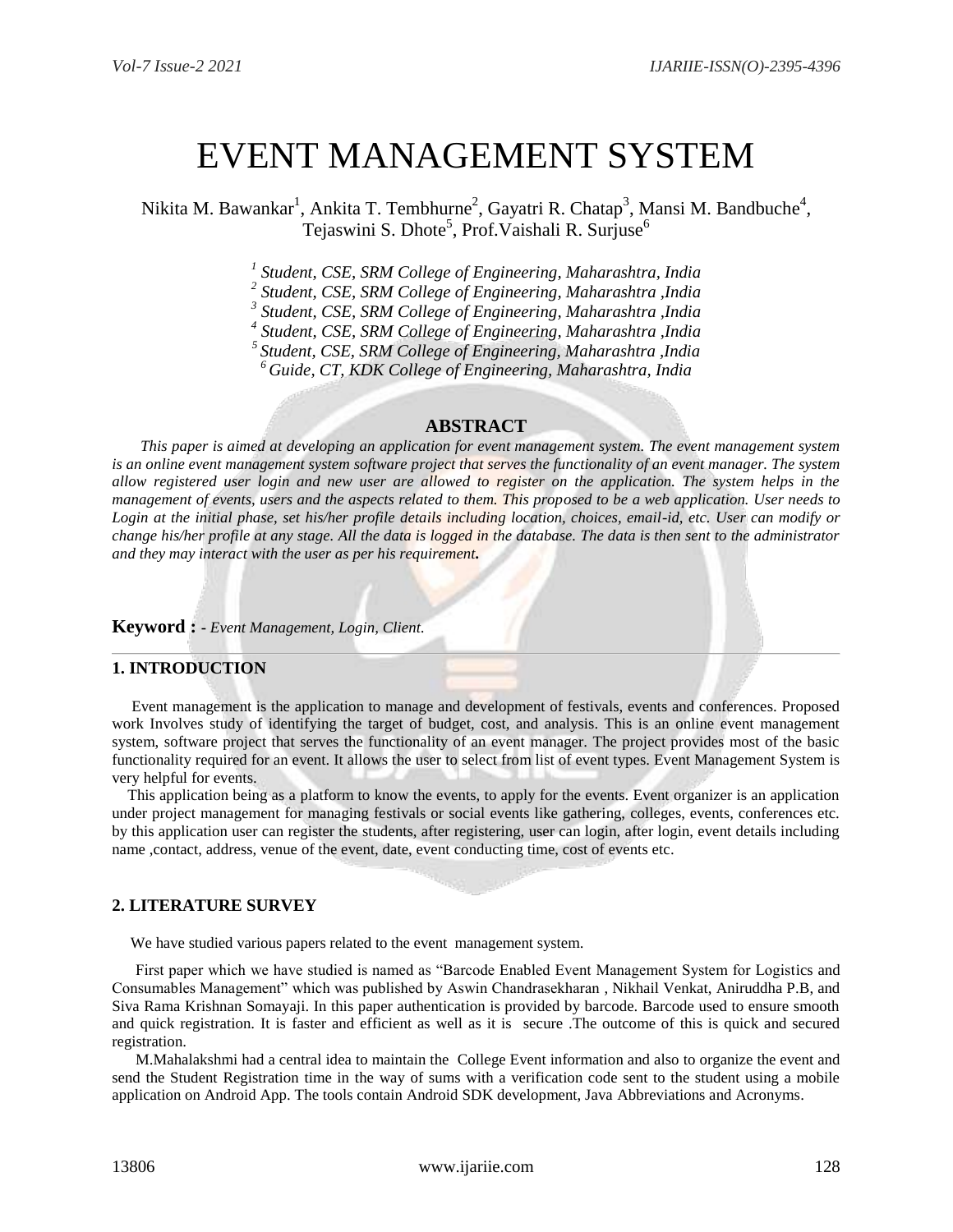# EVENT MANAGEMENT SYSTEM

Nikita M. Bawankar<sup>1</sup>, Ankita T. Tembhurne<sup>2</sup>, Gayatri R. Chatap<sup>3</sup>, Mansi M. Bandbuche<sup>4</sup>, Tejaswini S. Dhote<sup>5</sup>, Prof. Vaishali R. Surjuse<sup>6</sup>

*1 Student, CSE, SRM College of Engineering, Maharashtra, India*

*2 Student, CSE, SRM College of Engineering, Maharashtra ,India*

*3 Student, CSE, SRM College of Engineering, Maharashtra ,India*

*4 Student, CSE, SRM College of Engineering, Maharashtra ,India*

*<sup>5</sup>Student, CSE, SRM College of Engineering, Maharashtra ,India*

*<sup>6</sup> Guide, CT, KDK College of Engineering, Maharashtra, India*

#### **ABSTRACT**

*This paper is aimed at developing an application for event management system. The event management system*  is an online event management system software project that serves the functionality of an event manager. The system *allow registered user login and new user are allowed to register on the application. The system helps in the management of events, users and the aspects related to them. This proposed to be a web application. User needs to Login at the initial phase, set his/her profile details including location, choices, email-id, etc. User can modify or change his/her profile at any stage. All the data is logged in the database. The data is then sent to the administrator and they may interact with the user as per his requirement.*

**Keyword : -** *Event Management, Login, Client.*

#### **1. INTRODUCTION**

 Event management is the application to manage and development of festivals, events and conferences. Proposed work Involves study of identifying the target of budget, cost, and analysis. This is an online event management system, software project that serves the functionality of an event manager. The project provides most of the basic functionality required for an event. It allows the user to select from list of event types. Event Management System is very helpful for events.

 This application being as a platform to know the events, to apply for the events. Event organizer is an application under project management for managing festivals or social events like gathering, colleges, events, conferences etc. by this application user can register the students, after registering, user can login, after login, event details including name ,contact, address, venue of the event, date, event conducting time, cost of events etc.

#### **2. LITERATURE SURVEY**

We have studied various papers related to the event management system.

 First paper which we have studied is named as "Barcode Enabled Event Management System for Logistics and Consumables Management" which was published by Aswin Chandrasekharan , Nikhail Venkat, Aniruddha P.B, and Siva Rama Krishnan Somayaji. In this paper authentication is provided by barcode. Barcode used to ensure smooth and quick registration. It is faster and efficient as well as it is secure .The outcome of this is quick and secured registration.

 M.Mahalakshmi had a central idea to maintain the College Event information and also to organize the event and send the Student Registration time in the way of sums with a verification code sent to the student using a mobile application on Android App. The tools contain Android SDK development, Java Abbreviations and Acronyms.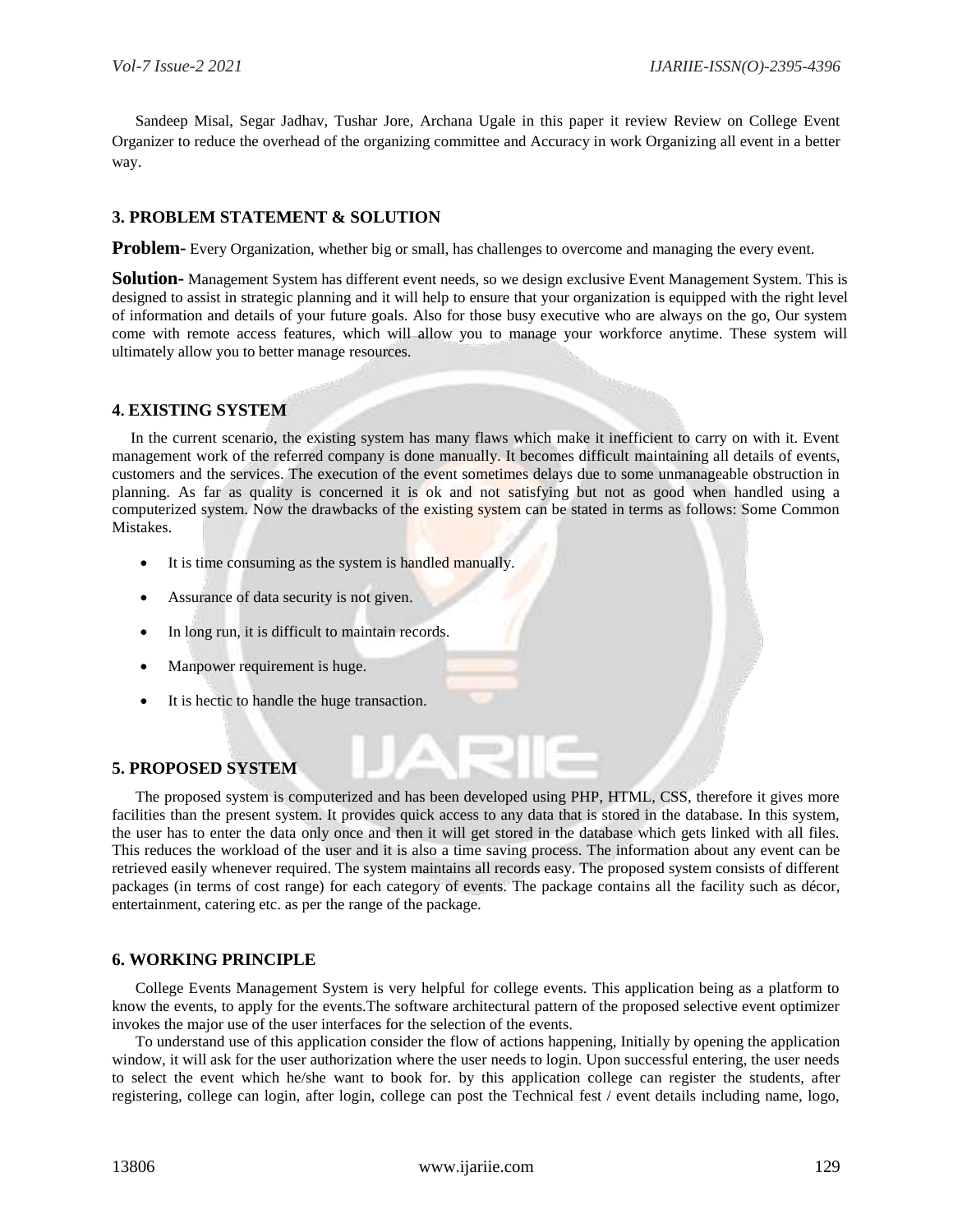Sandeep Misal, Segar Jadhav, Tushar Jore, Archana Ugale in this paper it review Review on College Event Organizer to reduce the overhead of the organizing committee and Accuracy in work Organizing all event in a better way.

## **3. PROBLEM STATEMENT & SOLUTION**

**Problem-** Every Organization, whether big or small, has challenges to overcome and managing the every event.

**Solution-** Management System has different event needs, so we design exclusive Event Management System. This is designed to assist in strategic planning and it will help to ensure that your organization is equipped with the right level of information and details of your future goals. Also for those busy executive who are always on the go, Our system come with remote access features, which will allow you to manage your workforce anytime. These system will ultimately allow you to better manage resources.

# **4. EXISTING SYSTEM**

 In the current scenario, the existing system has many flaws which make it inefficient to carry on with it. Event management work of the referred company is done manually. It becomes difficult maintaining all details of events, customers and the services. The execution of the event sometimes delays due to some unmanageable obstruction in planning. As far as quality is concerned it is ok and not satisfying but not as good when handled using a computerized system. Now the drawbacks of the existing system can be stated in terms as follows: Some Common Mistakes.

- It is time consuming as the system is handled manually.
- Assurance of data security is not given.
- In long run, it is difficult to maintain records.
- Manpower requirement is huge.
- It is hectic to handle the huge transaction.

### **5. PROPOSED SYSTEM**

 The proposed system is computerized and has been developed using PHP, HTML, CSS, therefore it gives more facilities than the present system. It provides quick access to any data that is stored in the database. In this system, the user has to enter the data only once and then it will get stored in the database which gets linked with all files. This reduces the workload of the user and it is also a time saving process. The information about any event can be retrieved easily whenever required. The system maintains all records easy. The proposed system consists of different packages (in terms of cost range) for each category of events. The package contains all the facility such as décor, entertainment, catering etc. as per the range of the package.

#### **6. WORKING PRINCIPLE**

 College Events Management System is very helpful for college events. This application being as a platform to know the events, to apply for the events.The software architectural pattern of the proposed selective event optimizer invokes the major use of the user interfaces for the selection of the events.

 To understand use of this application consider the flow of actions happening, Initially by opening the application window, it will ask for the user authorization where the user needs to login. Upon successful entering, the user needs to select the event which he/she want to book for. by this application college can register the students, after registering, college can login, after login, college can post the Technical fest / event details including name, logo,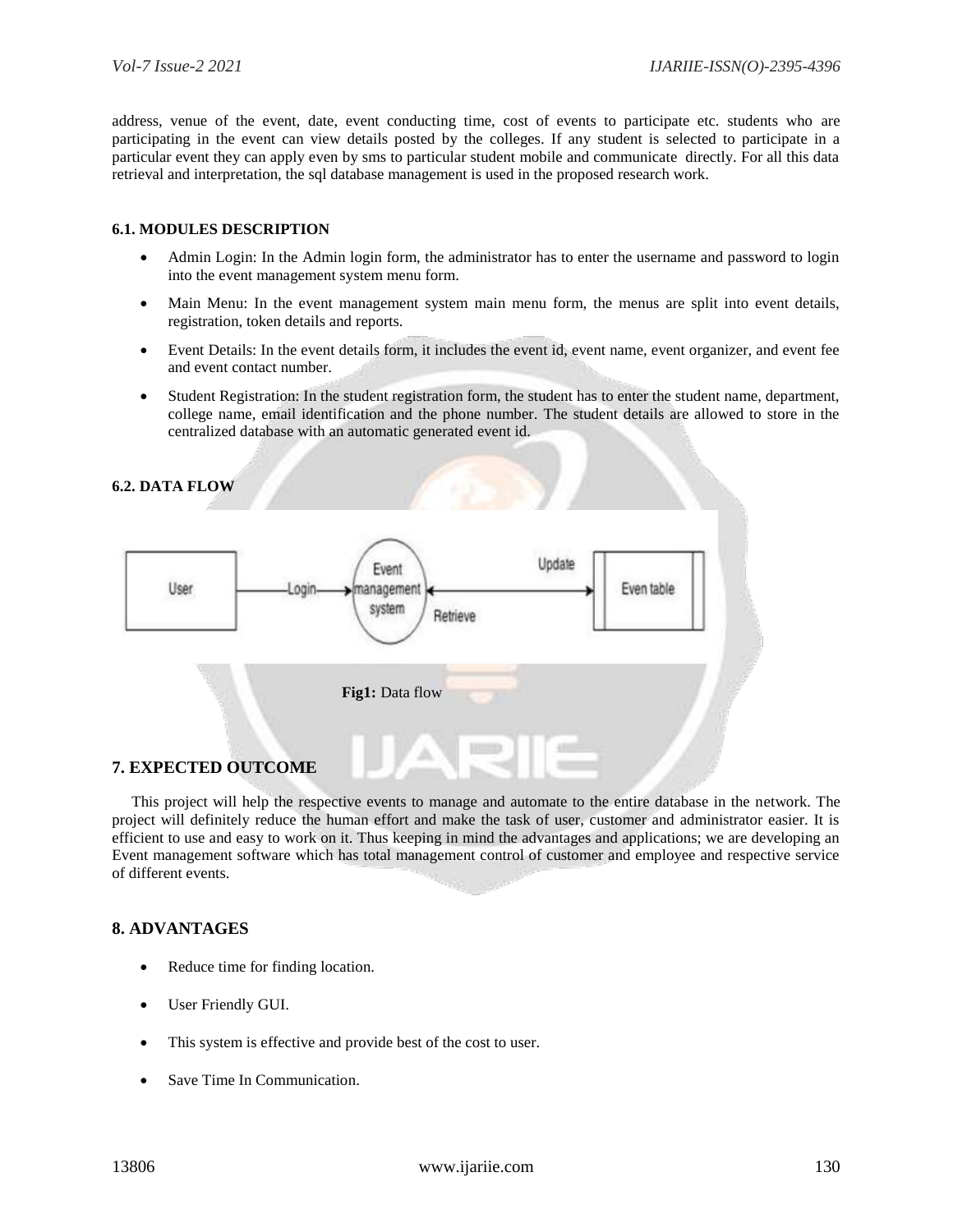address, venue of the event, date, event conducting time, cost of events to participate etc. students who are participating in the event can view details posted by the colleges. If any student is selected to participate in a particular event they can apply even by sms to particular student mobile and communicate directly. For all this data retrieval and interpretation, the sql database management is used in the proposed research work.

#### **6.1. MODULES DESCRIPTION**

- Admin Login: In the Admin login form, the administrator has to enter the username and password to login into the event management system menu form.
- Main Menu: In the event management system main menu form, the menus are split into event details, registration, token details and reports.
- Event Details: In the event details form, it includes the event id, event name, event organizer, and event fee and event contact number.
- Student Registration: In the student registration form, the student has to enter the student name, department, college name, email identification and the phone number. The student details are allowed to store in the centralized database with an automatic generated event id.

# **6.2. DATA FLOW** Update Event User nanagement Even table ogin system Retrieve  **Fig1:** Data flow **7. EXPECTED OUTCOME**

 This project will help the respective events to manage and automate to the entire database in the network. The project will definitely reduce the human effort and make the task of user, customer and administrator easier. It is efficient to use and easy to work on it. Thus keeping in mind the advantages and applications; we are developing an Event management software which has total management control of customer and employee and respective service of different events.

#### **8. ADVANTAGES**

- Reduce time for finding location.
- User Friendly GUI.
- This system is effective and provide best of the cost to user.
- Save Time In Communication.